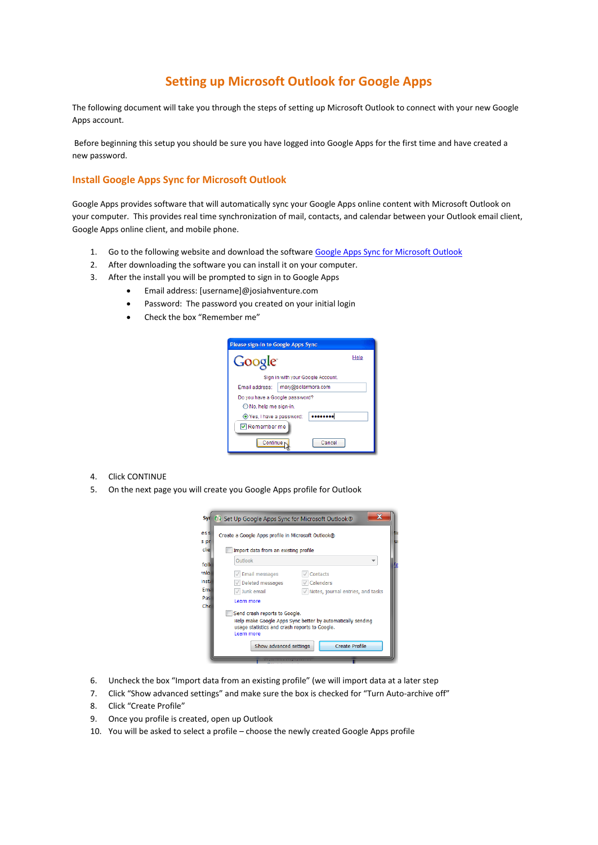## **Setting up Microsoft Outlook for Google Apps**

The following document will take you through the steps of setting up Microsoft Outlook to connect with your new Google Apps account.

Before beginning this setup you should be sure you have logged into Google Apps for the first time and have created a new password.

## **Install Google Apps Sync for Microsoft Outlook**

Google Apps provides software that will automatically sync your Google Apps online content with Microsoft Outlook on your computer. This provides real time synchronization of mail, contacts, and calendar between your Outlook email client, Google Apps online client, and mobile phone.

- 1. Go to the following website and download the software [Google Apps Sync for Microsoft Outlook](https://tools.google.com/dlpage/gappssync)
- 2. After downloading the software you can install it on your computer.
- 3. After the install you will be prompted to sign in to Google Apps
	- Email address: [username]@josiahventure.com
	- Password: The password you created on your initial login
	- Check the box "Remember me"

| Please sign-in to Google Apps Sync |                                   |      |  |  |
|------------------------------------|-----------------------------------|------|--|--|
| Google                             |                                   | Help |  |  |
|                                    | Sign in with your Google Account. |      |  |  |
| Email address:                     | mary@solarmora.com                |      |  |  |
| Do you have a Google password?     |                                   |      |  |  |
| O No, help me sign-in.             |                                   |      |  |  |
| ⊙ Yes, I have a password:          |                                   |      |  |  |
| Remember me                        |                                   |      |  |  |
| Continue r                         | Cancel                            |      |  |  |

- 4. Click CONTINUE
- 5. On the next page you will create you Google Apps profile for Outlook



- 6. Uncheck the box "Import data from an existing profile" (we will import data at a later step
- 7. Click "Show advanced settings" and make sure the box is checked for "Turn Auto-archive off"
- 8. Click "Create Profile"
- 9. Once you profile is created, open up Outlook
- 10. You will be asked to select a profile choose the newly created Google Apps profile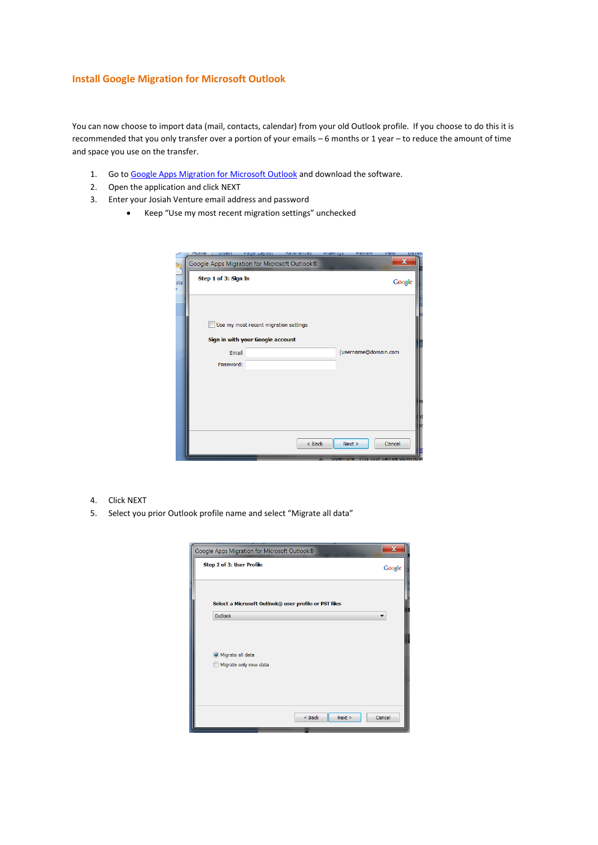## **Install Google Migration for Microsoft Outlook**

You can now choose to import data (mail, contacts, calendar) from your old Outlook profile. If you choose to do this it is recommended that you only transfer over a portion of your emails – 6 months or 1 year – to reduce the amount of time and space you use on the transfer.

- 1. Go to Google Apps [Migration for Microsoft Outlook](https://tools.google.com/dlpage/outlookmigration) and download the software.
- 2. Open the application and click NEXT
- 3. Enter your Josiah Venture email address and password
	- Keep "Use my most recent migration settings" unchecked

|     | nume | 112611               | raye Layout                                                               | <b>VEIEIEIICE</b> 2 | <b>Malilling</b> | <b>VEALEM</b>        | view   | <b>DEAEI</b> |
|-----|------|----------------------|---------------------------------------------------------------------------|---------------------|------------------|----------------------|--------|--------------|
| è   |      |                      | Google Apps Migration for Microsoft Outlook®                              |                     |                  |                      |        |              |
| ste |      | Step 1 of 3: Sign In |                                                                           |                     |                  |                      |        | Google       |
|     |      | Email<br>Password:   | Use my most recent migration settings<br>Sign in with your Google account |                     |                  | (username@domain.com |        |              |
|     |      |                      |                                                                           | $Back$              |                  | Next >               | Cancel |              |

- 4. Click NEXT
- 5. Select you prior Outlook profile name and select "Migrate all data"

| Google Apps Migration for Microsoft Outlook®          |        |
|-------------------------------------------------------|--------|
| Step 2 of 3: User Profile                             | Google |
| Select a Microsoft Outlook® user profile or PST files |        |
| Outlook                                               |        |
|                                                       |        |
| O Migrate all data                                    |        |
| Migrate only new data                                 |        |
|                                                       |        |
|                                                       |        |
| $<$ Back<br>Next >                                    | Cancel |